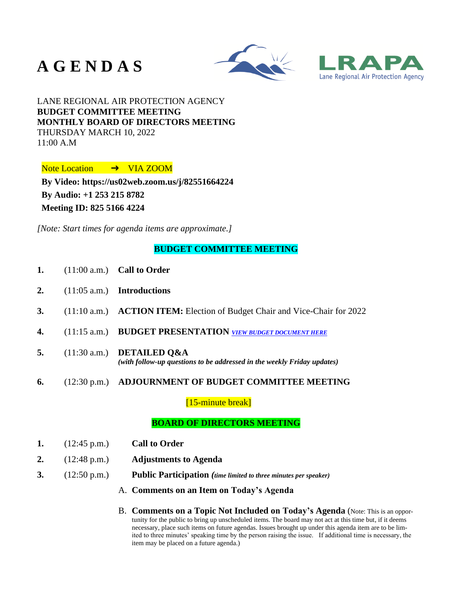# **A G E N D A S**





LANE REGIONAL AIR PROTECTION AGENCY **BUDGET COMMITTEE MEETING MONTHLY BOARD OF DIRECTORS MEETING** THURSDAY MARCH 10, 2022  $11:00 A.M$ 

Note Location → VIA ZOOM

**By Video:<https://us02web.zoom.us/j/82551664224> By Audio: +1 253 215 8782 Meeting ID: 825 5166 4224**

*[Note: Start times for agenda items are approximate.]*

## **BUDGET COMMITTEE MEETING**

- **1.** (11:00 a.m.) **Call to Order**
- **2.** (11:05 a.m.) **Introductions**
- **3.** (11:10 a.m.) **ACTION ITEM:** Election of Budget Chair and Vice-Chair for 2022
- **4.** (11:15 a.m.) **BUDGET PRESENTATION** *[VIEW BUDGET DOCUMENT HERE](https://www.lrapa.org/DocumentCenter/View/6268/Budget-doc-31022)*
- **5.** (11:30 a.m.) **DETAILED Q&A** *(with follow-up questions to be addressed in the weekly Friday updates)*
- **6.** (12:30 p.m.) **ADJOURNMENT OF BUDGET COMMITTEE MEETING**

[15-minute break]

## **BOARD OF DIRECTORS MEETING**

- **1.** (12:45 p.m.) **Call to Order**
- **2.** (12:48 p.m.) **Adjustments to Agenda**
- **3.** (12:50 p.m.) **Public Participation** *(time limited to three minutes per speaker)*
	- A. **Comments on an Item on Today's Agenda**
	- B. **Comments on a Topic Not Included on Today's Agenda** (Note: This is an opportunity for the public to bring up unscheduled items. The board may not act at this time but, if it deems necessary, place such items on future agendas. Issues brought up under this agenda item are to be limited to three minutes' speaking time by the person raising the issue. If additional time is necessary, the item may be placed on a future agenda.)